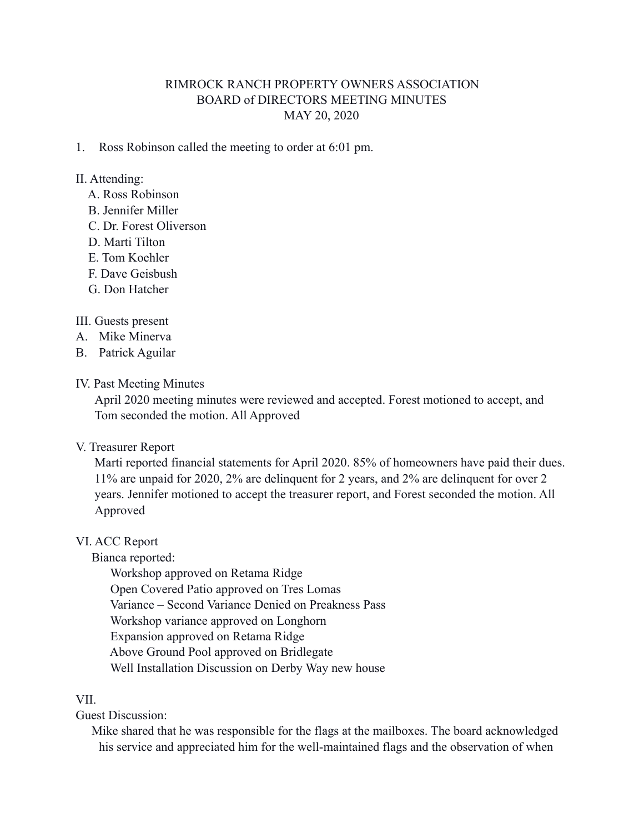# RIMROCK RANCH PROPERTY OWNERS ASSOCIATION BOARD of DIRECTORS MEETING MINUTES MAY 20, 2020

1. Ross Robinson called the meeting to order at 6:01 pm.

### II. Attending:

- A. Ross Robinson
- B. Jennifer Miller
- C. Dr. Forest Oliverson
- D. Marti Tilton
- E. Tom Koehler
- F. Dave Geisbush
- G. Don Hatcher

### III. Guests present

- A. Mike Minerva
- B. Patrick Aguilar

# IV. Past Meeting Minutes

 April 2020 meeting minutes were reviewed and accepted. Forest motioned to accept, and Tom seconded the motion. All Approved

#### V. Treasurer Report

 Marti reported financial statements for April 2020. 85% of homeowners have paid their dues. 11% are unpaid for 2020, 2% are delinquent for 2 years, and 2% are delinquent for over 2 years. Jennifer motioned to accept the treasurer report, and Forest seconded the motion. All Approved

#### VI. ACC Report

Bianca reported:

 Workshop approved on Retama Ridge Open Covered Patio approved on Tres Lomas Variance – Second Variance Denied on Preakness Pass Workshop variance approved on Longhorn Expansion approved on Retama Ridge Above Ground Pool approved on Bridlegate Well Installation Discussion on Derby Way new house

## VII.

### Guest Discussion:

 Mike shared that he was responsible for the flags at the mailboxes. The board acknowledged his service and appreciated him for the well-maintained flags and the observation of when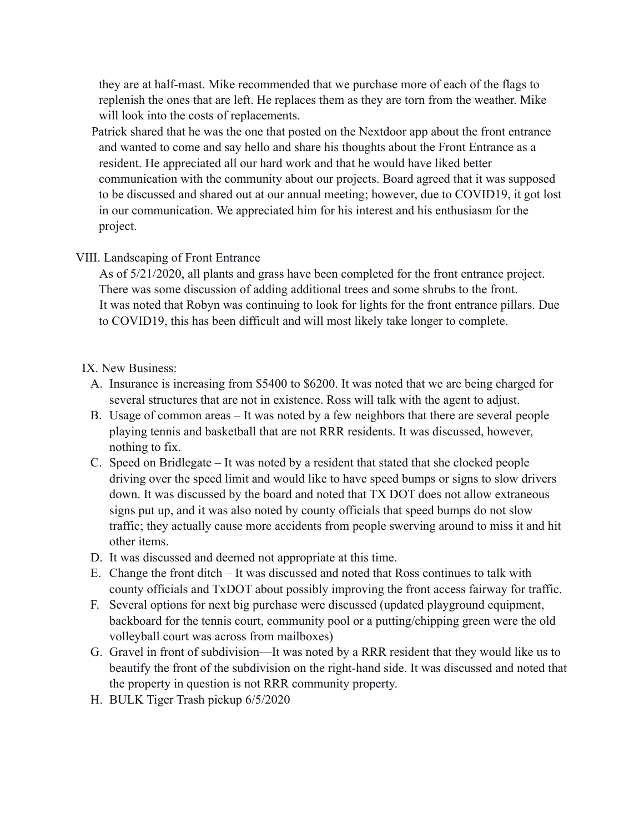they are at half-mast. Mike recommended that we purchase more of each of the flags to replenish the ones that are left. He replaces them as they are torn from the weather. Mike will look into the costs of replacements.

 Patrick shared that he was the one that posted on the Nextdoor app about the front entrance and wanted to come and say hello and share his thoughts about the Front Entrance as a resident. He appreciated all our hard work and that he would have liked better communication with the community about our projects. Board agreed that it was supposed to be discussed and shared out at our annual meeting; however, due to COVID19, it got lost in our communication. We appreciated him for his interest and his enthusiasm for the project.

# VIII. Landscaping of Front Entrance

 As of 5/21/2020, all plants and grass have been completed for the front entrance project. There was some discussion of adding additional trees and some shrubs to the front. It was noted that Robyn was continuing to look for lights for the front entrance pillars. Due to COVID19, this has been difficult and will most likely take longer to complete.

# IX. New Business:

- A. Insurance is increasing from \$5400 to \$6200. It was noted that we are being charged for several structures that are not in existence. Ross will talk with the agent to adjust.
- B. Usage of common areas It was noted by a few neighbors that there are several people playing tennis and basketball that are not RRR residents. It was discussed, however, nothing to fix.
- C. Speed on Bridlegate It was noted by a resident that stated that she clocked people driving over the speed limit and would like to have speed bumps or signs to slow drivers down. It was discussed by the board and noted that TX DOT does not allow extraneous signs put up, and it was also noted by county officials that speed bumps do not slow traffic; they actually cause more accidents from people swerving around to miss it and hit other items.
- D. It was discussed and deemed not appropriate at this time.
- E. Change the front ditch It was discussed and noted that Ross continues to talk with county officials and TxDOT about possibly improving the front access fairway for traffic.
- F. Several options for next big purchase were discussed (updated playground equipment, backboard for the tennis court, community pool or a putting/chipping green were the old volleyball court was across from mailboxes)
- G. Gravel in front of subdivision—It was noted by a RRR resident that they would like us to beautify the front of the subdivision on the right-hand side. It was discussed and noted that the property in question is not RRR community property.
- H. BULK Tiger Trash pickup 6/5/2020